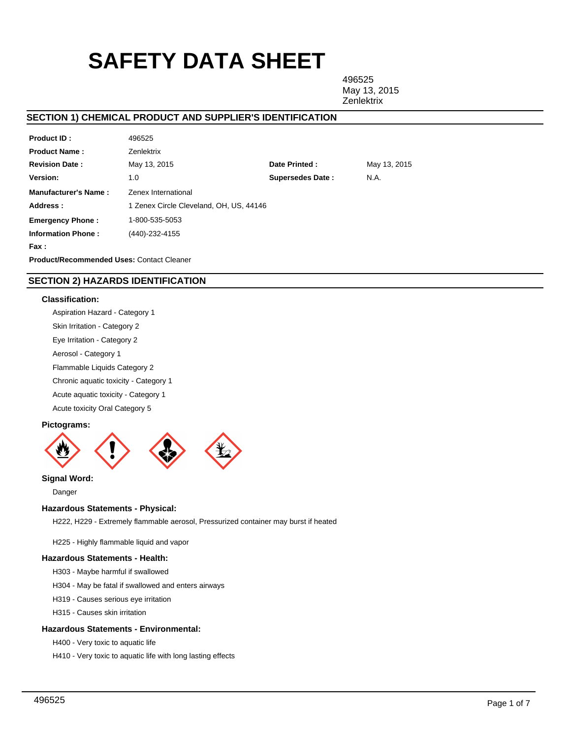# **SAFETY DATA SHEET**

496525 May 13, 2015 **Zenlektrix** 

# **SECTION 1) CHEMICAL PRODUCT AND SUPPLIER'S IDENTIFICATION**

| <b>Product ID:</b>                               | 496525                                  |                         |              |
|--------------------------------------------------|-----------------------------------------|-------------------------|--------------|
| <b>Product Name:</b>                             | Zenlektrix                              |                         |              |
| <b>Revision Date:</b>                            | May 13, 2015                            | Date Printed:           | May 13, 2015 |
| Version:                                         | 1.0                                     | <b>Supersedes Date:</b> | N.A.         |
| <b>Manufacturer's Name:</b>                      | Zenex International                     |                         |              |
| Address:                                         | 1 Zenex Circle Cleveland, OH, US, 44146 |                         |              |
| <b>Emergency Phone:</b>                          | 1-800-535-5053                          |                         |              |
| <b>Information Phone:</b>                        | (440)-232-4155                          |                         |              |
| Fax :                                            |                                         |                         |              |
| <b>Product/Recommended Uses: Contact Cleaner</b> |                                         |                         |              |

# **SECTION 2) HAZARDS IDENTIFICATION**

## **Classification:**

Aspiration Hazard - Category 1

Skin Irritation - Category 2

Eye Irritation - Category 2

Aerosol - Category 1

Flammable Liquids Category 2

Chronic aquatic toxicity - Category 1

Acute aquatic toxicity - Category 1

Acute toxicity Oral Category 5

## **Pictograms:**



# **Signal Word:**

Danger

## **Hazardous Statements - Physical:**

H222, H229 - Extremely flammable aerosol, Pressurized container may burst if heated

H225 - Highly flammable liquid and vapor

## **Hazardous Statements - Health:**

H303 - Maybe harmful if swallowed

H304 - May be fatal if swallowed and enters airways

H319 - Causes serious eye irritation

H315 - Causes skin irritation

## **Hazardous Statements - Environmental:**

H400 - Very toxic to aquatic life

H410 - Very toxic to aquatic life with long lasting effects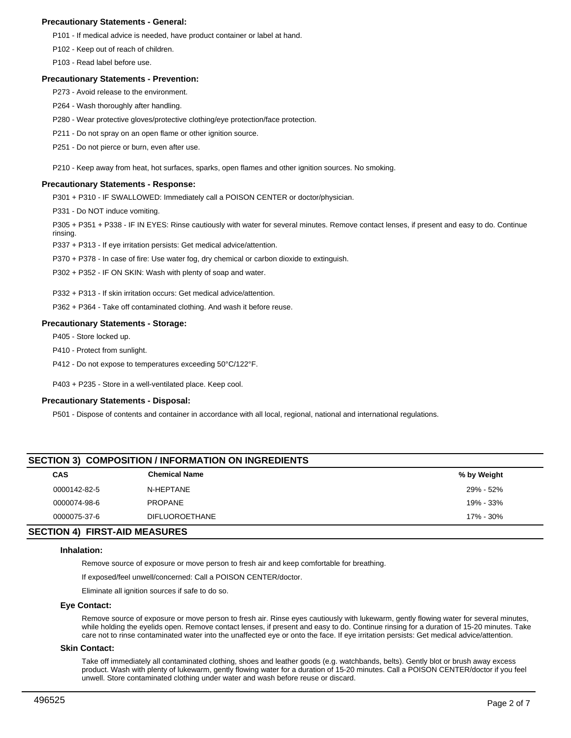## **Precautionary Statements - General:**

P101 - If medical advice is needed, have product container or label at hand.

P102 - Keep out of reach of children.

P103 - Read label before use.

#### **Precautionary Statements - Prevention:**

P273 - Avoid release to the environment.

P264 - Wash thoroughly after handling.

P280 - Wear protective gloves/protective clothing/eye protection/face protection.

P211 - Do not spray on an open flame or other ignition source.

P251 - Do not pierce or burn, even after use.

P210 - Keep away from heat, hot surfaces, sparks, open flames and other ignition sources. No smoking.

## **Precautionary Statements - Response:**

P301 + P310 - IF SWALLOWED: Immediately call a POISON CENTER or doctor/physician.

P331 - Do NOT induce vomiting.

P305 + P351 + P338 - IF IN EYES: Rinse cautiously with water for several minutes. Remove contact lenses, if present and easy to do. Continue rinsing.

P337 + P313 - If eye irritation persists: Get medical advice/attention.

P370 + P378 - In case of fire: Use water fog, dry chemical or carbon dioxide to extinguish.

P302 + P352 - IF ON SKIN: Wash with plenty of soap and water.

P332 + P313 - If skin irritation occurs: Get medical advice/attention.

P362 + P364 - Take off contaminated clothing. And wash it before reuse.

## **Precautionary Statements - Storage:**

P405 - Store locked up.

- P410 Protect from sunlight.
- P412 Do not expose to temperatures exceeding 50°C/122°F.

P403 + P235 - Store in a well-ventilated place. Keep cool.

## **Precautionary Statements - Disposal:**

P501 - Dispose of contents and container in accordance with all local, regional, national and international regulations.

| <b>SECTION 3) COMPOSITION / INFORMATION ON INGREDIENTS</b>                                                                                                                                                                                                                                                                                                                           |                       |             |  |  |  |
|--------------------------------------------------------------------------------------------------------------------------------------------------------------------------------------------------------------------------------------------------------------------------------------------------------------------------------------------------------------------------------------|-----------------------|-------------|--|--|--|
| <b>CAS</b>                                                                                                                                                                                                                                                                                                                                                                           | <b>Chemical Name</b>  | % by Weight |  |  |  |
| 0000142-82-5                                                                                                                                                                                                                                                                                                                                                                         | N-HEPTANE             | 29% - 52%   |  |  |  |
| 0000074-98-6                                                                                                                                                                                                                                                                                                                                                                         | <b>PROPANE</b>        | 19% - 33%   |  |  |  |
| 0000075-37-6                                                                                                                                                                                                                                                                                                                                                                         | <b>DIFLUOROETHANE</b> | 17% - 30%   |  |  |  |
| $\overline{C}$ $\overline{C}$ $\overline{C}$ $\overline{C}$ $\overline{C}$ $\overline{C}$ $\overline{C}$ $\overline{C}$ $\overline{C}$ $\overline{C}$ $\overline{C}$ $\overline{C}$ $\overline{C}$ $\overline{C}$ $\overline{C}$ $\overline{C}$ $\overline{C}$ $\overline{C}$ $\overline{C}$ $\overline{C}$ $\overline{C}$ $\overline{C}$ $\overline{C}$ $\overline{C}$ $\overline{$ |                       |             |  |  |  |

## **SECTION 4) FIRST-AID MEASURES**

#### **Inhalation:**

Remove source of exposure or move person to fresh air and keep comfortable for breathing.

If exposed/feel unwell/concerned: Call a POISON CENTER/doctor.

Eliminate all ignition sources if safe to do so.

## **Eye Contact:**

Remove source of exposure or move person to fresh air. Rinse eyes cautiously with lukewarm, gently flowing water for several minutes, while holding the eyelids open. Remove contact lenses, if present and easy to do. Continue rinsing for a duration of 15-20 minutes. Take care not to rinse contaminated water into the unaffected eye or onto the face. If eye irritation persists: Get medical advice/attention.

## **Skin Contact:**

Take off immediately all contaminated clothing, shoes and leather goods (e.g. watchbands, belts). Gently blot or brush away excess product. Wash with plenty of lukewarm, gently flowing water for a duration of 15-20 minutes. Call a POISON CENTER/doctor if you feel unwell. Store contaminated clothing under water and wash before reuse or discard.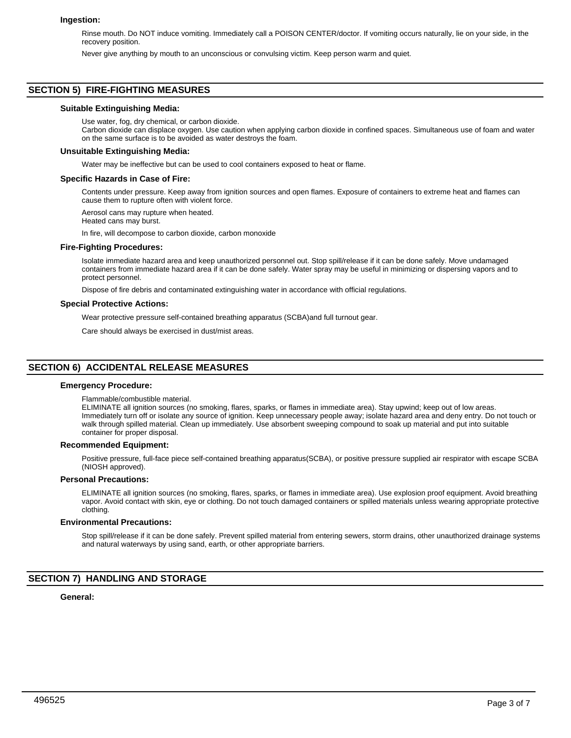## **Ingestion:**

Rinse mouth. Do NOT induce vomiting. Immediately call a POISON CENTER/doctor. If vomiting occurs naturally, lie on your side, in the recovery position.

Never give anything by mouth to an unconscious or convulsing victim. Keep person warm and quiet.

## **SECTION 5) FIRE-FIGHTING MEASURES**

#### **Suitable Extinguishing Media:**

Use water, fog, dry chemical, or carbon dioxide.

Carbon dioxide can displace oxygen. Use caution when applying carbon dioxide in confined spaces. Simultaneous use of foam and water on the same surface is to be avoided as water destroys the foam.

#### **Unsuitable Extinguishing Media:**

Water may be ineffective but can be used to cool containers exposed to heat or flame.

#### **Specific Hazards in Case of Fire:**

Contents under pressure. Keep away from ignition sources and open flames. Exposure of containers to extreme heat and flames can cause them to rupture often with violent force.

Aerosol cans may rupture when heated.

Heated cans may burst.

In fire, will decompose to carbon dioxide, carbon monoxide

#### **Fire-Fighting Procedures:**

Isolate immediate hazard area and keep unauthorized personnel out. Stop spill/release if it can be done safely. Move undamaged containers from immediate hazard area if it can be done safely. Water spray may be useful in minimizing or dispersing vapors and to protect personnel.

Dispose of fire debris and contaminated extinguishing water in accordance with official regulations.

#### **Special Protective Actions:**

Wear protective pressure self-contained breathing apparatus (SCBA)and full turnout gear.

Care should always be exercised in dust/mist areas.

## **SECTION 6) ACCIDENTAL RELEASE MEASURES**

## **Emergency Procedure:**

Flammable/combustible material.

ELIMINATE all ignition sources (no smoking, flares, sparks, or flames in immediate area). Stay upwind; keep out of low areas. Immediately turn off or isolate any source of ignition. Keep unnecessary people away; isolate hazard area and deny entry. Do not touch or walk through spilled material. Clean up immediately. Use absorbent sweeping compound to soak up material and put into suitable container for proper disposal.

## **Recommended Equipment:**

Positive pressure, full-face piece self-contained breathing apparatus(SCBA), or positive pressure supplied air respirator with escape SCBA (NIOSH approved).

#### **Personal Precautions:**

ELIMINATE all ignition sources (no smoking, flares, sparks, or flames in immediate area). Use explosion proof equipment. Avoid breathing vapor. Avoid contact with skin, eye or clothing. Do not touch damaged containers or spilled materials unless wearing appropriate protective clothing.

## **Environmental Precautions:**

Stop spill/release if it can be done safely. Prevent spilled material from entering sewers, storm drains, other unauthorized drainage systems and natural waterways by using sand, earth, or other appropriate barriers.

# **SECTION 7) HANDLING AND STORAGE**

**General:**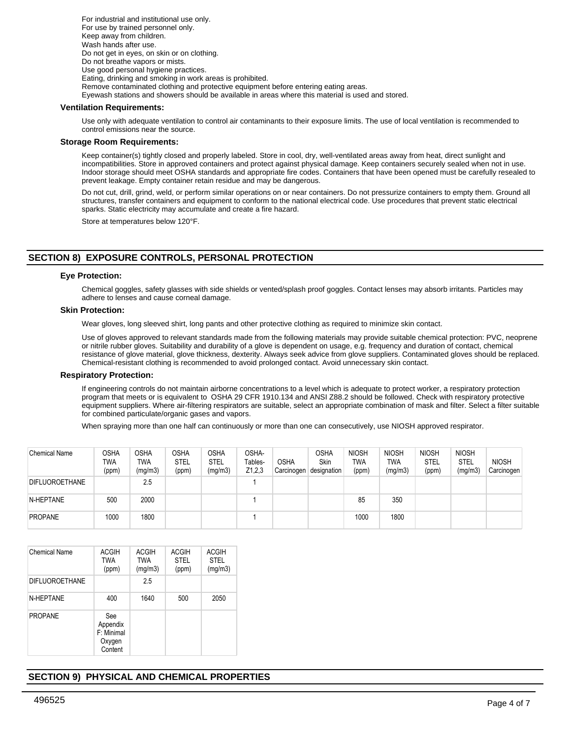For industrial and institutional use only. For use by trained personnel only. Keep away from children. Wash hands after use. Do not get in eyes, on skin or on clothing. Do not breathe vapors or mists. Use good personal hygiene practices. Eating, drinking and smoking in work areas is prohibited. Remove contaminated clothing and protective equipment before entering eating areas. Eyewash stations and showers should be available in areas where this material is used and stored.

## **Ventilation Requirements:**

Use only with adequate ventilation to control air contaminants to their exposure limits. The use of local ventilation is recommended to control emissions near the source.

## **Storage Room Requirements:**

Keep container(s) tightly closed and properly labeled. Store in cool, dry, well-ventilated areas away from heat, direct sunlight and incompatibilities. Store in approved containers and protect against physical damage. Keep containers securely sealed when not in use. Indoor storage should meet OSHA standards and appropriate fire codes. Containers that have been opened must be carefully resealed to prevent leakage. Empty container retain residue and may be dangerous.

Do not cut, drill, grind, weld, or perform similar operations on or near containers. Do not pressurize containers to empty them. Ground all structures, transfer containers and equipment to conform to the national electrical code. Use procedures that prevent static electrical sparks. Static electricity may accumulate and create a fire hazard.

Store at temperatures below 120°F.

# **SECTION 8) EXPOSURE CONTROLS, PERSONAL PROTECTION**

#### **Eye Protection:**

Chemical goggles, safety glasses with side shields or vented/splash proof goggles. Contact lenses may absorb irritants. Particles may adhere to lenses and cause corneal damage.

#### **Skin Protection:**

Wear gloves, long sleeved shirt, long pants and other protective clothing as required to minimize skin contact.

Use of gloves approved to relevant standards made from the following materials may provide suitable chemical protection: PVC, neoprene or nitrile rubber gloves. Suitability and durability of a glove is dependent on usage, e.g. frequency and duration of contact, chemical resistance of glove material, glove thickness, dexterity. Always seek advice from glove suppliers. Contaminated gloves should be replaced. Chemical-resistant clothing is recommended to avoid prolonged contact. Avoid unnecessary skin contact.

#### **Respiratory Protection:**

If engineering controls do not maintain airborne concentrations to a level which is adequate to protect worker, a respiratory protection program that meets or is equivalent to OSHA 29 CFR 1910.134 and ANSI Z88.2 should be followed. Check with respiratory protective equipment suppliers. Where air-filtering respirators are suitable, select an appropriate combination of mask and filter. Select a filter suitable for combined particulate/organic gases and vapors.

When spraying more than one half can continuously or more than one can consecutively, use NIOSH approved respirator.

| <b>Chemical Name</b>  | OSHA<br>TWA<br>(ppm) | OSHA<br>TWA<br>(mg/m3) | <b>OSHA</b><br><b>STEL</b><br>(ppm) | OSHA<br><b>STEL</b><br>(mg/m3) | OSHA-<br>Tables-<br>Z1,2,3 | OSHA | <b>OSHA</b><br>Skin<br>Carcinogen designation | <b>NIOSH</b><br><b>TWA</b><br>(ppm) | <b>NIOSH</b><br>TWA<br>(mg/m3) | <b>NIOSH</b><br><b>STEL</b><br>(ppm) | <b>NIOSH</b><br><b>STEL</b><br>(mg/m3) | <b>NIOSH</b><br>Carcinogen |
|-----------------------|----------------------|------------------------|-------------------------------------|--------------------------------|----------------------------|------|-----------------------------------------------|-------------------------------------|--------------------------------|--------------------------------------|----------------------------------------|----------------------------|
| <b>DIFLUOROETHANE</b> |                      | 2.5                    |                                     |                                |                            |      |                                               |                                     |                                |                                      |                                        |                            |
| N-HEPTANE             | 500                  | 2000                   |                                     |                                |                            |      |                                               | 85                                  | 350                            |                                      |                                        |                            |
| <b>PROPANE</b>        | 1000                 | 1800                   |                                     |                                |                            |      |                                               | 1000                                | 1800                           |                                      |                                        |                            |

| Chemical Name         | <b>ACGIH</b><br><b>TWA</b><br>(ppm)                | <b>ACGIH</b><br><b>TWA</b><br>(mg/m3) | <b>ACGIH</b><br><b>STEL</b><br>(ppm) | <b>ACGIH</b><br><b>STEL</b><br>(mg/m3) |
|-----------------------|----------------------------------------------------|---------------------------------------|--------------------------------------|----------------------------------------|
| <b>DIFLUOROETHANE</b> |                                                    | 2.5                                   |                                      |                                        |
| N-HEPTANE             | 400                                                | 1640                                  | 500                                  | 2050                                   |
| <b>PROPANE</b>        | See<br>Appendix<br>F: Minimal<br>Oxygen<br>Content |                                       |                                      |                                        |

# **SECTION 9) PHYSICAL AND CHEMICAL PROPERTIES**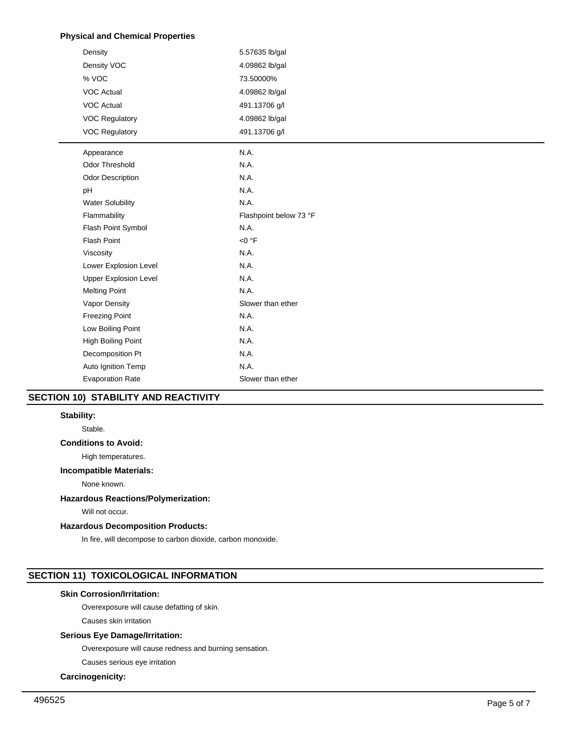# **Physical and Chemical Properties**

| Density                      | 5.57635 lb/gal         |
|------------------------------|------------------------|
| Density VOC                  | 4.09862 lb/gal         |
| % VOC                        | 73.50000%              |
| <b>VOC Actual</b>            | 4.09862 lb/gal         |
| <b>VOC Actual</b>            | 491.13706 g/l          |
| <b>VOC Regulatory</b>        | 4.09862 lb/gal         |
| <b>VOC Regulatory</b>        | 491.13706 g/l          |
| Appearance                   | N.A.                   |
| <b>Odor Threshold</b>        | N.A.                   |
| Odor Description             | N.A.                   |
| pH                           | N.A.                   |
| <b>Water Solubility</b>      | N.A.                   |
| Flammability                 | Flashpoint below 73 °F |
| Flash Point Symbol           | N.A.                   |
| <b>Flash Point</b>           | < 0 °F                 |
| Viscosity                    | N.A.                   |
| Lower Explosion Level        | N.A.                   |
| <b>Upper Explosion Level</b> | N.A.                   |
| <b>Melting Point</b>         | N.A.                   |
| Vapor Density                | Slower than ether      |
| <b>Freezing Point</b>        | N.A.                   |
| Low Boiling Point            | N.A.                   |
| High Boiling Point           | N.A.                   |
| Decomposition Pt             | N.A.                   |
| Auto Ignition Temp           | N.A.                   |
| <b>Evaporation Rate</b>      | Slower than ether      |

# **SECTION 10) STABILITY AND REACTIVITY**

## **Stability:**

Stable.

# **Conditions to Avoid:**

High temperatures.

## **Incompatible Materials:**

None known.

## **Hazardous Reactions/Polymerization:**

Will not occur.

## **Hazardous Decomposition Products:**

In fire, will decompose to carbon dioxide, carbon monoxide.

# **SECTION 11) TOXICOLOGICAL INFORMATION**

# **Skin Corrosion/Irritation:**

Overexposure will cause defatting of skin.

Causes skin irritation

# **Serious Eye Damage/Irritation:**

Overexposure will cause redness and burning sensation.

Causes serious eye irritation

# **Carcinogenicity:**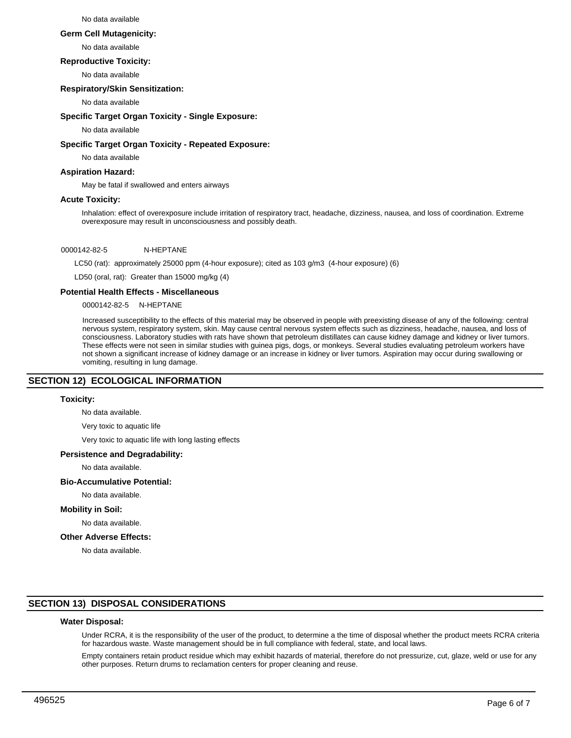#### No data available

#### **Germ Cell Mutagenicity:**

No data available

## **Reproductive Toxicity:**

No data available

## **Respiratory/Skin Sensitization:**

No data available

## **Specific Target Organ Toxicity - Single Exposure:**

No data available

#### **Specific Target Organ Toxicity - Repeated Exposure:**

No data available

## **Aspiration Hazard:**

May be fatal if swallowed and enters airways

## **Acute Toxicity:**

Inhalation: effect of overexposure include irritation of respiratory tract, headache, dizziness, nausea, and loss of coordination. Extreme overexposure may result in unconsciousness and possibly death.

## 0000142-82-5 N-HEPTANE

LC50 (rat): approximately 25000 ppm (4-hour exposure); cited as 103 g/m3 (4-hour exposure) (6)

LD50 (oral, rat): Greater than 15000 mg/kg (4)

#### **Potential Health Effects - Miscellaneous**

0000142-82-5 N-HEPTANE

Increased susceptibility to the effects of this material may be observed in people with preexisting disease of any of the following: central nervous system, respiratory system, skin. May cause central nervous system effects such as dizziness, headache, nausea, and loss of consciousness. Laboratory studies with rats have shown that petroleum distillates can cause kidney damage and kidney or liver tumors. These effects were not seen in similar studies with guinea pigs, dogs, or monkeys. Several studies evaluating petroleum workers have not shown a significant increase of kidney damage or an increase in kidney or liver tumors. Aspiration may occur during swallowing or vomiting, resulting in lung damage.

## **SECTION 12) ECOLOGICAL INFORMATION**

## **Toxicity:**

No data available.

Very toxic to aquatic life

Very toxic to aquatic life with long lasting effects

#### **Persistence and Degradability:**

No data available.

## **Bio-Accumulative Potential:**

No data available.

#### **Mobility in Soil:**

No data available.

## **Other Adverse Effects:**

No data available.

## **SECTION 13) DISPOSAL CONSIDERATIONS**

#### **Water Disposal:**

Under RCRA, it is the responsibility of the user of the product, to determine a the time of disposal whether the product meets RCRA criteria for hazardous waste. Waste management should be in full compliance with federal, state, and local laws.

Empty containers retain product residue which may exhibit hazards of material, therefore do not pressurize, cut, glaze, weld or use for any other purposes. Return drums to reclamation centers for proper cleaning and reuse.